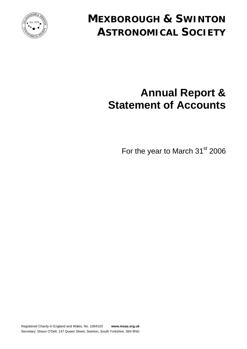

# **MEXBOROUGH & SWINTON ASTRONOMICAL SOCIETY**

# **Annual Report & Statement of Accounts**

For the year to March 31<sup>st</sup> 2006

Registered Charity in England and Wales, No. 1064103 **www.msas.org.uk** Secretary: Shaun O'Dell, 147 Queen Street, Swinton, South Yorkshire, S64 8NG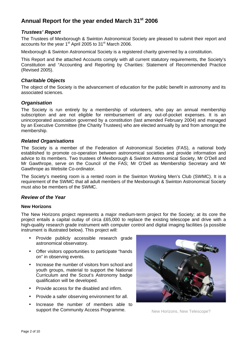# **Annual Report for the year ended March 31st 2006**

### *Trustees' Report*

The Trustees of Mexborough & Swinton Astronomical Society are pleased to submit their report and accounts for the year  $1<sup>st</sup>$  April 2005 to  $31<sup>st</sup>$  March 2006.

Mexborough & Swinton Astronomical Society is a registered charity governed by a constitution.

This Report and the attached Accounts comply with all current statutory requirements, the Society's Constitution and "Accounting and Reporting by Charities: Statement of Recommended Practice (Revised 2005).

#### *Charitable Objects*

The object of the Society is the advancement of education for the public benefit in astronomy and its associated sciences.

#### *Organisation*

The Society is run entirely by a membership of volunteers, who pay an annual membership subscription and are not eligible for reimbursement of any out-of-pocket expenses. It is an unincorporated association governed by a constitution (last amended February 2004) and managed by an Executive Committee (the Charity Trustees) who are elected annually by and from amongst the membership.

#### *Related Organisations*

The Society is a member of the Federation of Astronomical Societies (FAS), a national body established to promote co-operation between astronomical societies and provide information and advice to its members. Two trustees of Mexborough & Swinton Astronomical Society, Mr O'Dell and Mr Gawthrope, serve on the Council of the FAS; Mr O'Dell as Membership Secretary and Mr Gawthrope as Website Co-ordinator.

The Society's meeting room is a rented room in the Swinton Working Men's Club (SWMC). It is a requirement of the SWMC that all adult members of the Mexborough & Swinton Astronomical Society must also be members of the SWMC.

## *Review of the Year*

#### **New Horizons**

The New Horizons project represents a major medium-term project for the Society; at its core the project entails a capital outlay of circa £65,000 to replace the existing telescope and drive with a high-quality research grade instrument with computer control and digital imaging facilities (a possible instrument is illustrated below). This project will:

- Provide publicly accessible research grade astronomical observatory.
- Offer visitors opportunities to participate "hands on" in observing events.
- Increase the number of visitors from school and youth groups, material to support the National Curriculum and the Scout's Astronomy badge qualification will be developed.
- Provide access for the disabled and infirm.
- Provide a safer observing environment for all.
- Increase the number of members able to support the Community Access Programme. New Horizons, New Telescope?

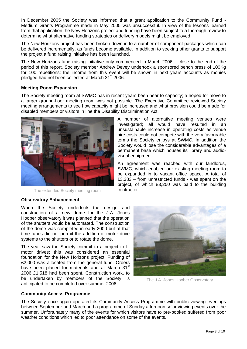In December 2005 the Society was informed that a grant application to the Community Fund - Medium Grants Programme made in May 2005 was unsuccessful. In view of the lessons learned from that application the New Horizons project and funding have been subject to a thorough review to determine what alternative funding strategies or delivery models might be employed.

The New Horizons project has been broken down in to a number of component packages which can be delivered incrementally, as funds become available. In addition to seeking other grants to support the project a fund raising initiative has been launched.

The New Horizons fund raising initiative only commenced in March 2006 – close to the end of the period of this report. Society member Andrew Devey undertook a sponsored bench press of 100Kg for 100 repetitions; the income from this event will be shown in next years accounts as monies pledged had not been collected at March 31<sup>st</sup> 2006.

#### **Meeting Room Expansion**

The Society meeting room at SWMC has in recent years been near to capacity; a hoped for move to a larger ground-floor meeting room was not possible. The Executive Committee reviewed Society meeting arrangements to see how capacity might be increased and what provision could be made for disabled members or visitors in line the Disability Discrimination Act.



The extended Society meeting room

A number of alternative meeting venues were investigated; all would have resulted in an unsustainable increase in operating costs as venue hire costs could not compete with the very favourable terms the Society enjoys at SWMC. In addition the Society would lose the considerable advantages of a permanent base which houses its library and audiovisual equipment.

An agreement was reached with our landlords, SWMC, which enabled our existing meeting room to be expanded in to vacant office space. A total of £3,383 – from unrestricted funds - was spent on the project, of which £3,250 was paid to the building contractor.

# **Observatory Enhancement**

When the Society undertook the design and construction of a new dome for the J.A. Jones Hoober observatory it was planned that the operation of the shutters would be automated. The construction of the dome was completed in early 2000 but at that time funds did not permit the addition of motor drive systems to the shutters or to rotate the dome.

The year saw the Society commit to a project to fit motor drives; this was considered an essential foundation for the New Horizons project. Funding of £2,000 was allocated from the general fund. Orders have been placed for materials and at March 31<sup>st</sup> 2006 £1,518 had been spent. Construction work, to be undertaken by members of the Society, is anticipated to be completed over summer 2006.



The J.A. Jones Hoober Observatory

#### **Community Access Programme**

The Society once again operated its Community Access Programme with public viewing evenings between September and March and a programme of Sunday afternoon solar viewing events over the summer. Unfortunately many of the events for which visitors have to pre-booked suffered from poor weather conditions which led to poor attendance on some of the events.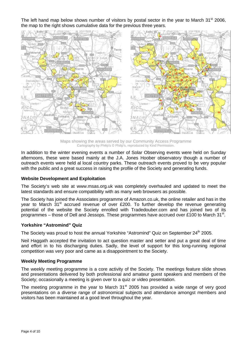The left hand map below shows number of visitors by postal sector in the year to March  $31<sup>st</sup>$  2006, the map to the right shows cumulative data for the previous three years.



Maps showing the areas served by our Community Access Programme Cartography by Philip's © Philip's, reproduced by Kind Permission.

In addition to the winter evening events a number of Solar Observing events were held on Sunday afternoons, these were based mainly at the J.A. Jones Hoober observatory though a number of outreach events were held al local country parks. These outreach events proved to be very popular with the public and a great success in raising the profile of the Society and generating funds.

#### **Website Development and Exploitation**

The Society's web site at www.msas.org.uk was completely overhauled and updated to meet the latest standards and ensure compatibility with as many web browsers as possible.

The Society has joined the Associates programme of Amazon.co.uk, the online retailer and has in the year to March 31<sup>st</sup> accrued revenue of over £200. To further develop the revenue generating potential of the website the Society enrolled with Tradedouber.com and has joined two of its programmes – those of Dell and Jessops. These programmes have accrued over £100 to March 31<sup>st</sup>.

#### **Yorkshire "Astromind" Quiz**

The Society was proud to host the annual Yorkshire "Astromind" Quiz on September 24<sup>th</sup> 2005.

Neil Haggath accepted the invitation to act question master and setter and put a great deal of time and effort in to his discharging duties. Sadly, the level of support for this long-running regional competition was very poor and came as a disappointment to the Society.

#### **Weekly Meeting Programme**

The weekly meeting programme is a core activity of the Society. The meetings feature slide shows and presentations delivered by both professional and amateur guest speakers and members of the Society; occasionally a meeting is given over to a quiz or video presentation.

The meeting programme in the year to March  $31<sup>st</sup>$  2005 has provided a wide range of very good presentations on a diverse range of astronomical subjects and attendance amongst members and visitors has been maintained at a good level throughout the year.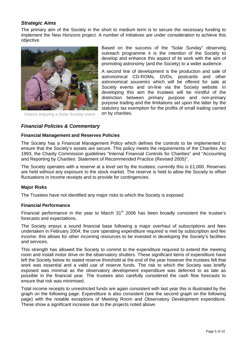# *Strategic Aims*

The primary aim of the Society in the short to medium term is to secure the necessary funding to implement the New Horizons project. A number of initiatives are under consideration to achieve this objective.



Visitors enjoying a Solar Sunday event

Based on the success of the "Solar Sunday" observing outreach programme it is the intention of the Society to develop and enhance this aspect of its work with the aim of promoting astronomy (and the Society) to a wider audience.

A second line of development is the production and sale of astronomical CD-ROMs, DVDs, postcards and other astronomical souvenirs which will be offered for sale at Society events and on-line via the Society website. In developing this aim the trustees will be mindful of the distinction between primary purpose and non-primary purpose trading and the limitations set upon the latter by the statutory tax exemption for the profits of small trading carried on by charities.

# *Financial Policies & Commentary*

#### **Financial Management and Reserves Policies**

The Society has a Financial Management Policy which defines the controls to be implemented to ensure that the Society's assets are secure. This policy meets the requirements of the Charities Act 1993, the Charity Commission guidelines "Internal Financial Controls for Charities" and "Accounting and Reporting by Charities: Statement of Recommended Practice (Revised 2005)".

The Society operates with a reserve at a level set by the trustees; currently this is £1,000. Reserves are held without any exposure to the stock market. The reserve is held to allow the Society to offset fluctuations in income receipts and to provide for contingencies.

#### **Major Risks**

The Trustees have not identified any major risks to which the Society is exposed.

#### **Financial Performance**

Financial performance in the year to March  $31<sup>st</sup>$  2006 has been broadly consistent the trustee's forecasts and expectations.

The Society enjoys a sound financial base following a major overhaul of subscriptions and fees undertaken in February 2004; the core operating expenditure required is met by subscription and fee income; this allows for other incoming resources to be invested in developing the Society's facilities and services.

This strength has allowed the Society to commit to the expenditure required to extend the meeting room and install motor drive on the observatory shutters. These significant items of expenditure have left the Society below its stated reserve threshold at the end of the year however the trustees felt that work was essential and a valid use of reserve funds. The risk to which the Society was briefly exposed was minimal as the observatory development expenditure was deferred to as late as possible in the financial year. The trustees also carefully considered the cash flow forecasts to ensure that risk was minimised.

Total income receipts to unrestricted funds are again consistent with last year this is illustrated by the graph on the following page. Expenditure is also consistent (see the second graph on the following page) with the notable exceptions of Meeting Room and Observatory Development expenditure. These show a significant increase due to the projects noted above.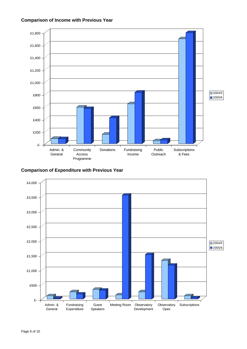#### **Comparison of Income with Previous Year**



#### **Comparison of Expenditure with Previous Year**

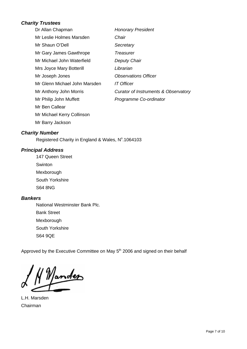# *Charity Trustees*

| Dr Allan Chapman              | <b>Honorary President</b>            |
|-------------------------------|--------------------------------------|
| Mr Leslie Holmes Marsden      | Chair                                |
| Mr Shaun O'Dell               | Secretary                            |
| Mr Gary James Gawthrope       | Treasurer                            |
| Mr Michael John Waterfield    | Deputy Chair                         |
| Mrs Joyce Mary Botterill      | Librarian                            |
| Mr Joseph Jones               | <b>Observations Officer</b>          |
| Mr Glenn Michael John Marsden | <i>IT Officer</i>                    |
| Mr Anthony John Morris        | Curator of Instruments & Observatory |
| Mr Philip John Muffett        | Programme Co-ordinator               |
| Mr Ben Callear                |                                      |
| Mr Michael Kerry Collinson    |                                      |
| Mr Barry Jackson              |                                      |

# *Charity Number*

Registered Charity in England & Wales, Nº.1064103

# *Principal Address*

147 Queen Street **Swinton** Mexborough South Yorkshire S64 8NG

# *Bankers*

National Westminster Bank Plc. Bank Street Mexborough South Yorkshire S64 9QE

Approved by the Executive Committee on May 5<sup>th</sup> 2006 and signed on their behalf

Jander

L.H. Marsden Chairman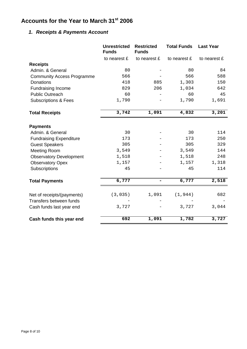# **Accounts for the Year to March 31st 2006**

# *1. Receipts & Payments Account*

|                                   | <b>Unrestricted</b><br><b>Funds</b> | <b>Restricted</b><br><b>Funds</b> | <b>Total Funds</b> | <b>Last Year</b> |
|-----------------------------------|-------------------------------------|-----------------------------------|--------------------|------------------|
|                                   | to nearest £                        | to nearest £                      | to nearest £       | to nearest £     |
| <b>Receipts</b>                   |                                     |                                   |                    |                  |
| Admin. & General                  | 80                                  |                                   | 80                 | 84               |
| <b>Community Access Programme</b> | 566                                 |                                   | 566                | 588              |
| <b>Donations</b>                  | 418                                 | 885                               | 1,303              | 150              |
| <b>Fundraising Income</b>         | 829                                 | 206                               | 1,034              | 642              |
| <b>Public Outreach</b>            | 60                                  |                                   | 60                 | 45               |
| <b>Subscriptions &amp; Fees</b>   | 1,790                               |                                   | 1,790              | 1,691            |
| <b>Total Receipts</b>             | 3,742                               | 1,091                             | 4,832              | 3,201            |
| <b>Payments</b>                   |                                     |                                   |                    |                  |
| Admin. & General                  | 30                                  |                                   | 30                 | 114              |
| <b>Fundraising Expenditure</b>    | 173                                 |                                   | 173                | 250              |
| <b>Guest Speakers</b>             | 305                                 |                                   | 305                | 329              |
| <b>Meeting Room</b>               | 3,549                               |                                   | 3,549              | 144              |
| <b>Observatory Development</b>    | 1,518                               |                                   | 1,518              | 248              |
| <b>Observatory Opex</b>           | 1,157                               |                                   | 1,157              | 1,318            |
| Subscriptions                     | 45                                  |                                   | 45                 | 114              |
| <b>Total Payments</b>             | 6,777                               |                                   | 6,777              | 2,518            |
| Net of receipts/(payments)        | (3,035)                             | 1,091                             | (1, 944)           | 682              |
| Transfers between funds           |                                     |                                   |                    |                  |
| Cash funds last year end          | 3,727                               |                                   | 3,727              | 3,044            |
| Cash funds this year end          | 692                                 | 1,091                             | 1,782              | 3,727            |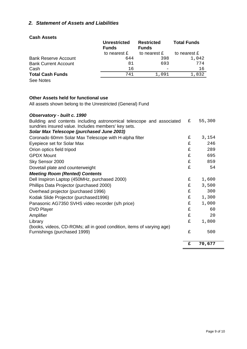# *2. Statement of Assets and Liabilities*

### **Cash Assets**

|                             | <b>Unrestricted</b><br><b>Funds</b> | <b>Restricted</b><br><b>Funds</b> | <b>Total Funds</b> |  |
|-----------------------------|-------------------------------------|-----------------------------------|--------------------|--|
|                             | to nearest £                        | to nearest £                      | to nearest £       |  |
| <b>Bank Reserve Account</b> | 644                                 | 398                               | 1,042              |  |
| <b>Bank Current Account</b> | 81                                  | 693                               | 774                |  |
| Cash                        | 16                                  |                                   | 16                 |  |
| <b>Total Cash Funds</b>     | 741                                 | 1,091                             | 1,832              |  |
| $\sim$ $\sim$ $\sim$        |                                     |                                   |                    |  |

See Notes

## **Other Assets held for functional use**

All assets shown belong to the Unrestricted (General) Fund

# *Observatory - built c. 1990*

|                                                                                                       | £ | 70,677 |
|-------------------------------------------------------------------------------------------------------|---|--------|
|                                                                                                       |   |        |
| (books, videos, CD-ROMs; all in good condition, items of varying age)<br>Furnishings (purchased 1999) | £ | 500    |
| Library                                                                                               | £ | 1,800  |
| Amplifier                                                                                             | £ | 20     |
| <b>DVD Player</b>                                                                                     | £ | 60     |
| Panasonic AG7350 SVHS video recorder (s/h price)                                                      | £ | 1,000  |
| Kodak Slide Projector (purchased1996)                                                                 | £ | 1,300  |
| Overhead projector (purchased 1996)                                                                   | £ | 300    |
| Phillips Data Projector (purchased 2000)                                                              | £ | 3,500  |
| Dell Inspiron Laptop (450MHz, purchased 2000)                                                         | £ | 1,600  |
| <b>Meeting Room (Rented) Contents</b>                                                                 |   |        |
| Dovetail plate and counterweight                                                                      | £ | 54     |
| Sky Sensor 2000                                                                                       | £ | 859    |
| <b>GPDX Mount</b>                                                                                     | £ | 695    |
| Orion optics field tripod                                                                             | £ | 289    |
| Eyepiece set for Solar Max                                                                            | £ | 246    |
| Coronado 60mm Solar Max Telescope with H-alpha filter                                                 | £ | 3,154  |
| Solar Max Telescope (purchased June 2003)                                                             |   |        |
| sundries insured value. Includes members' key sets.                                                   |   |        |
| Building and contents including astronomical telescope and associated                                 | £ | 55,300 |